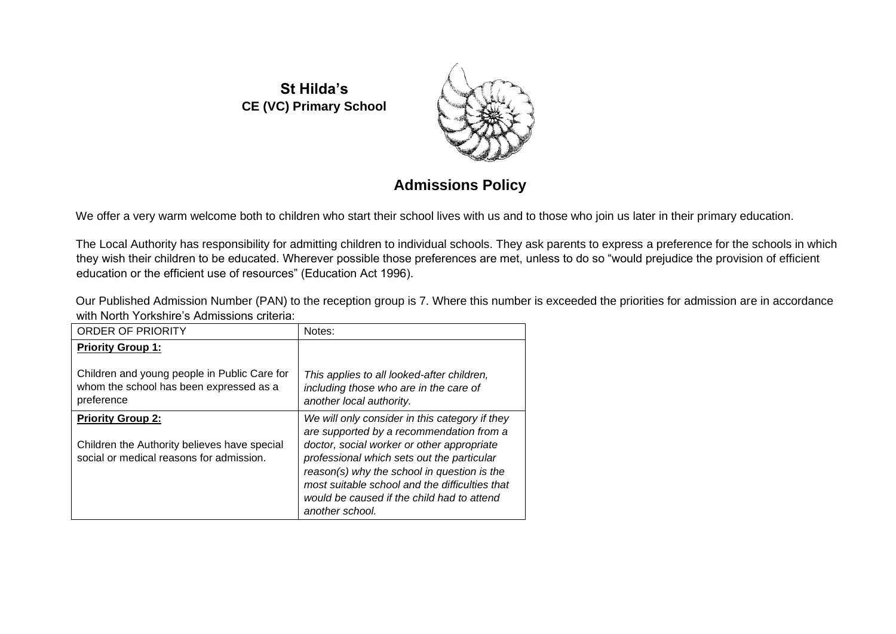**St Hilda's CE (VC) Primary School**



## **Admissions Policy**

We offer a very warm welcome both to children who start their school lives with us and to those who join us later in their primary education.

The Local Authority has responsibility for admitting children to individual schools. They ask parents to express a preference for the schools in which they wish their children to be educated. Wherever possible those preferences are met, unless to do so "would prejudice the provision of efficient education or the efficient use of resources" (Education Act 1996).

Our Published Admission Number (PAN) to the reception group is 7. Where this number is exceeded the priorities for admission are in accordance with North Yorkshire's Admissions criteria:

| <b>ORDER OF PRIORITY</b>                                                                                             | Notes:                                                                                                                                                                                                                                                                                                                                                   |
|----------------------------------------------------------------------------------------------------------------------|----------------------------------------------------------------------------------------------------------------------------------------------------------------------------------------------------------------------------------------------------------------------------------------------------------------------------------------------------------|
| <b>Priority Group 1:</b>                                                                                             |                                                                                                                                                                                                                                                                                                                                                          |
| Children and young people in Public Care for<br>whom the school has been expressed as a<br>preference                | This applies to all looked-after children,<br>including those who are in the care of<br>another local authority.                                                                                                                                                                                                                                         |
| <b>Priority Group 2:</b><br>Children the Authority believes have special<br>social or medical reasons for admission. | We will only consider in this category if they<br>are supported by a recommendation from a<br>doctor, social worker or other appropriate<br>professional which sets out the particular<br>reason(s) why the school in question is the<br>most suitable school and the difficulties that<br>would be caused if the child had to attend<br>another school. |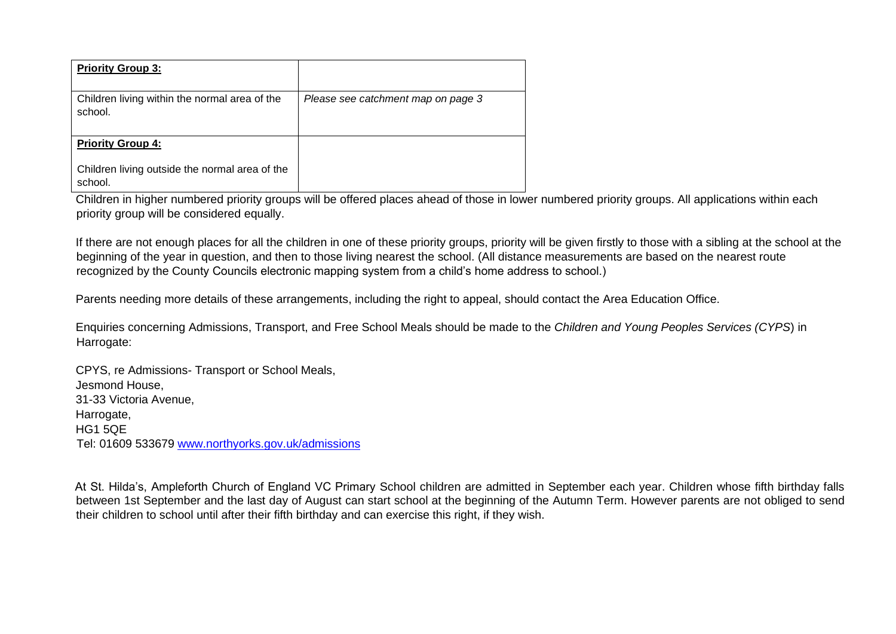| <b>Priority Group 3:</b>                                  |                                    |
|-----------------------------------------------------------|------------------------------------|
| Children living within the normal area of the<br>school.  | Please see catchment map on page 3 |
| <b>Priority Group 4:</b>                                  |                                    |
| Children living outside the normal area of the<br>school. |                                    |

Children in higher numbered priority groups will be offered places ahead of those in lower numbered priority groups. All applications within each priority group will be considered equally.

If there are not enough places for all the children in one of these priority groups, priority will be given firstly to those with a sibling at the school at the beginning of the year in question, and then to those living nearest the school. (All distance measurements are based on the nearest route recognized by the County Councils electronic mapping system from a child's home address to school.)

Parents needing more details of these arrangements, including the right to appeal, should contact the Area Education Office.

Enquiries concerning Admissions, Transport, and Free School Meals should be made to the *Children and Young Peoples Services (CYPS*) in Harrogate:

CPYS, re Admissions- Transport or School Meals, Jesmond House, 31-33 Victoria Avenue, Harrogate, HG1 5QE Tel: 01609 533679 [www.northyorks.gov.uk/admissions](http://www.northyorks.gov.uk/admissions) 

At St. Hilda's, Ampleforth Church of England VC Primary School children are admitted in September each year. Children whose fifth birthday falls between 1st September and the last day of August can start school at the beginning of the Autumn Term. However parents are not obliged to send their children to school until after their fifth birthday and can exercise this right, if they wish.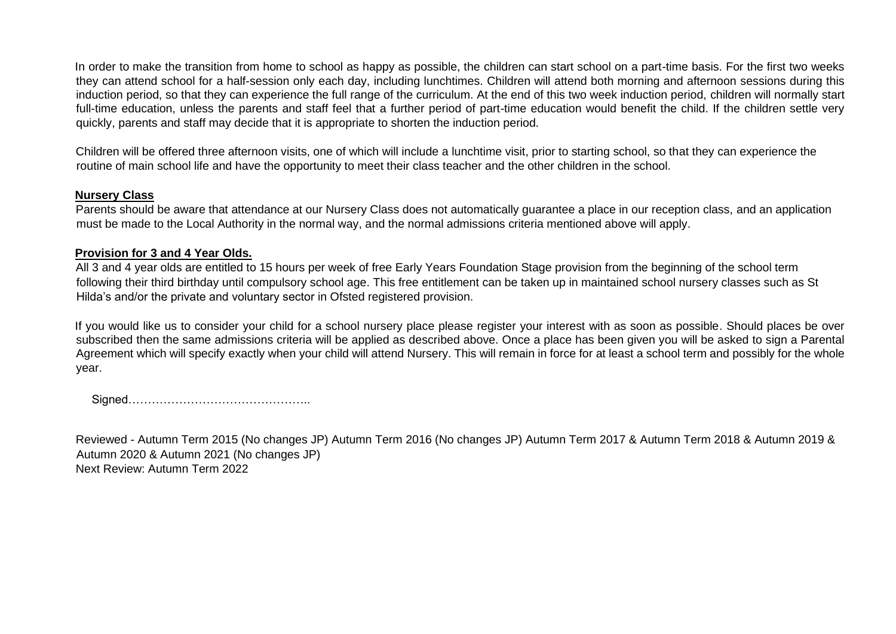In order to make the transition from home to school as happy as possible, the children can start school on a part-time basis. For the first two weeks they can attend school for a half-session only each day, including lunchtimes. Children will attend both morning and afternoon sessions during this induction period, so that they can experience the full range of the curriculum. At the end of this two week induction period, children will normally start full-time education, unless the parents and staff feel that a further period of part-time education would benefit the child. If the children settle very quickly, parents and staff may decide that it is appropriate to shorten the induction period.

Children will be offered three afternoon visits, one of which will include a lunchtime visit, prior to starting school, so that they can experience the routine of main school life and have the opportunity to meet their class teacher and the other children in the school.

## **Nursery Class**

Parents should be aware that attendance at our Nursery Class does not automatically guarantee a place in our reception class, and an application must be made to the Local Authority in the normal way, and the normal admissions criteria mentioned above will apply.

## **Provision for 3 and 4 Year Olds.**

All 3 and 4 year olds are entitled to 15 hours per week of free Early Years Foundation Stage provision from the beginning of the school term following their third birthday until compulsory school age. This free entitlement can be taken up in maintained school nursery classes such as St Hilda's and/or the private and voluntary sector in Ofsted registered provision.

If you would like us to consider your child for a school nursery place please register your interest with as soon as possible. Should places be over subscribed then the same admissions criteria will be applied as described above. Once a place has been given you will be asked to sign a Parental Agreement which will specify exactly when your child will attend Nursery. This will remain in force for at least a school term and possibly for the whole year.

Signed………………………………………..

Reviewed - Autumn Term 2015 (No changes JP) Autumn Term 2016 (No changes JP) Autumn Term 2017 & Autumn Term 2018 & Autumn 2019 & Autumn 2020 & Autumn 2021 (No changes JP) Next Review: Autumn Term 2022